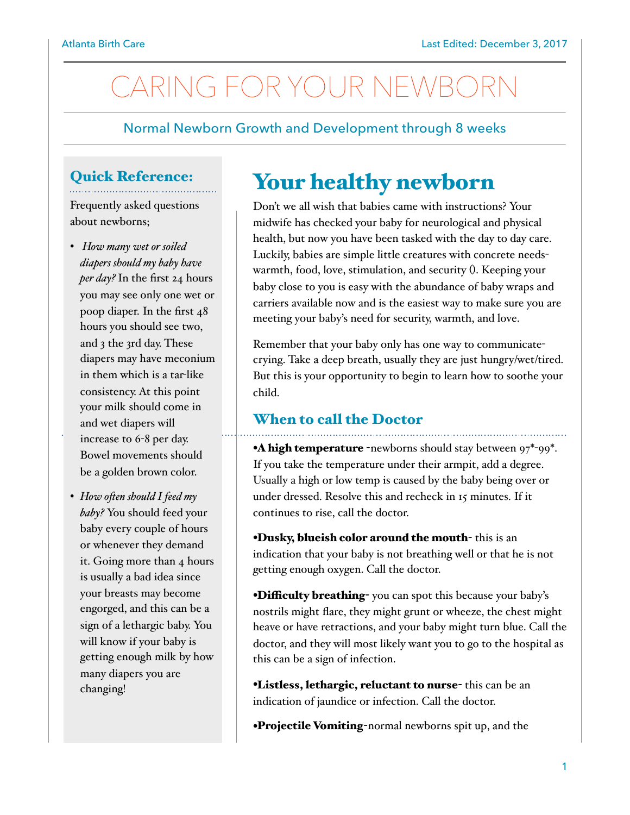# CARING FOR YOUR NEWBOR

Normal Newborn Growth and Development through 8 weeks

### Quick Reference:

Frequently asked questions about newborns;

- *How many wet or soiled diapers should my baby have per day?* In the first 24 hours you may see only one wet or poop diaper. In the first 48 hours you should see two, and 3 the 3rd day. These diapers may have meconium in them which is a tar-like consistency. At this point your milk should come in and wet diapers will increase to 6-8 per day. Bowel movements should be a golden brown color.
- *• How ofen should I feed my baby?* You should feed your baby every couple of hours or whenever they demand it. Going more than 4 hours is usually a bad idea since your breasts may become engorged, and this can be a sign of a lethargic baby. You will know if your baby is getting enough milk by how many diapers you are changing!

## Your healthy newborn

Don't we all wish that babies came with instructions? Your midwife has checked your baby for neurological and physical health, but now you have been tasked with the day to day care. Luckily, babies are simple little creatures with concrete needswarmth, food, love, stimulation, and security (). Keeping your baby close to you is easy with the abundance of baby wraps and carriers available now and is the easiest way to make sure you are meeting your baby's need for security, warmth, and love.

Remember that your baby only has one way to communicatecrying. Take a deep breath, usually they are just hungry/wet/tired. But this is your opportunity to begin to learn how to soothe your child.

### When to call the Doctor

•A high temperature -newborns should stay between  $97^*$ -99<sup>\*</sup>. If you take the temperature under their armpit, add a degree. Usually a high or low temp is caused by the baby being over or under dressed. Resolve this and recheck in 15 minutes. If it continues to rise, call the doctor.

•Dusky, blueish color around the mouth- this is an indication that your baby is not breathing well or that he is not getting enough oxygen. Call the doctor.

**•Difficulty breathing-** you can spot this because your baby's nostrils might flare, they might grunt or wheeze, the chest might heave or have retractions, and your baby might turn blue. Call the doctor, and they will most likely want you to go to the hospital as this can be a sign of infection.

•Listless, lethargic, reluctant to nurse- this can be an indication of jaundice or infection. Call the doctor.

•Projectile Vomiting-normal newborns spit up, and the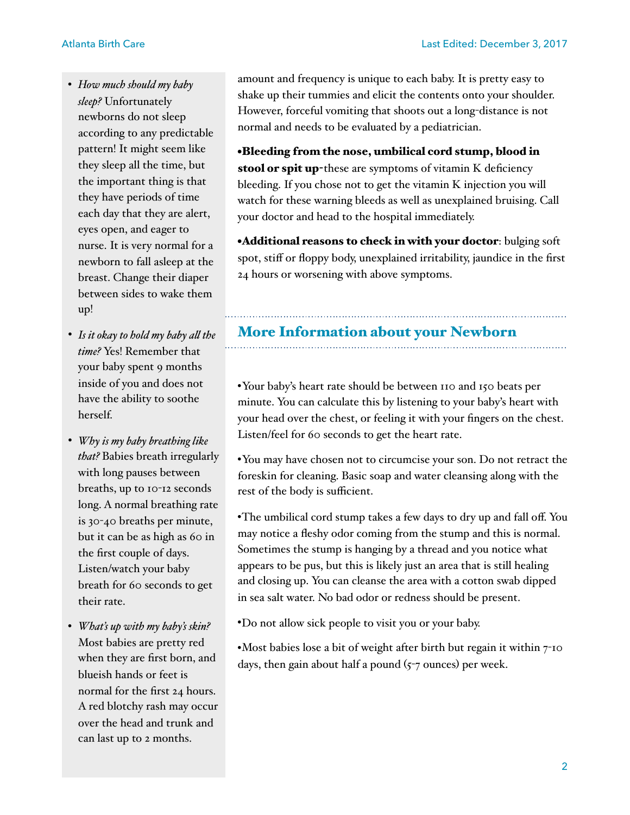- *How much should my baby sleep?* Unfortunately newborns do not sleep according to any predictable pattern! It might seem like they sleep all the time, but the important thing is that they have periods of time each day that they are alert, eyes open, and eager to nurse. It is very normal for a newborn to fall asleep at the breast. Change their diaper between sides to wake them up!
- *• Is it okay to hold my baby al the time?* Yes! Remember that your baby spent 9 months inside of you and does not have the ability to soothe herself.
- *• Why is my baby breathing like that?* Babies breath irregularly with long pauses between breaths, up to 10-12 seconds long. A normal breathing rate is 30-40 breaths per minute, but it can be as high as 60 in the first couple of days. Listen/watch your baby breath for 60 seconds to get their rate.
- *What's up with my baby's skin?*  Most babies are pretty red when they are first born, and blueish hands or feet is normal for the first 24 hours. A red blotchy rash may occur over the head and trunk and can last up to 2 months.

amount and frequency is unique to each baby. It is pretty easy to shake up their tummies and elicit the contents onto your shoulder. However, forceful vomiting that shoots out a long-distance is not normal and needs to be evaluated by a pediatrician.

•Bleeding from the nose, umbilical cord stump, blood in stool or spit up-these are symptoms of vitamin K deficiency bleeding. If you chose not to get the vitamin K injection you will watch for these warning bleeds as well as unexplained bruising. Call your doctor and head to the hospital immediately.

•Additional reasons to check in with your doctor: bulging soft spot, stiff or floppy body, unexplained irritability, jaundice in the first 24 hours or worsening with above symptoms.

### More Information about your Newborn

•Your baby's heart rate should be between 110 and 150 beats per minute. You can calculate this by listening to your baby's heart with your head over the chest, or feeling it with your fingers on the chest. Listen/feel for 60 seconds to get the heart rate.

•You may have chosen not to circumcise your son. Do not retract the foreskin for cleaning. Basic soap and water cleansing along with the rest of the body is sufficient.

•The umbilical cord stump takes a few days to dry up and fall off. You may notice a fleshy odor coming from the stump and this is normal. Sometimes the stump is hanging by a thread and you notice what appears to be pus, but this is likely just an area that is still healing and closing up. You can cleanse the area with a cotton swab dipped in sea salt water. No bad odor or redness should be present.

•Do not allow sick people to visit you or your baby.

•Most babies lose a bit of weight after birth but regain it within 7-10 days, then gain about half a pound  $(5-7 \text{ ounces})$  per week.